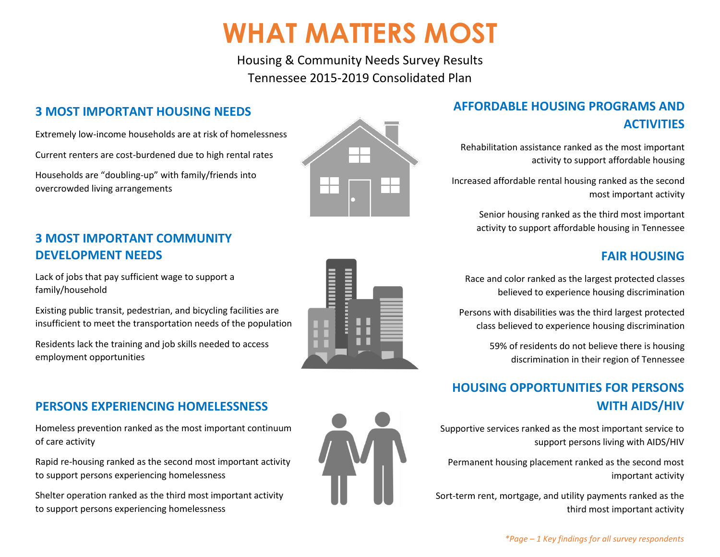# **WHAT MATTERS MOST**

Housing & Community Needs Survey Results Tennessee 2015-2019 Consolidated Plan

## **3 MOST IMPORTANT HOUSING NEEDS**

Extremely low-income households are at risk of homelessness

Current renters are cost-burdened due to high rental rates

Households are "doubling-up" with family/friends into overcrowded living arrangements

## **3 MOST IMPORTANT COMMUNITY DEVELOPMENT NEEDS**

Lack of jobs that pay sufficient wage to support a family/household

Existing public transit, pedestrian, and bicycling facilities are insufficient to meet the transportation needs of the population

Residents lack the training and job skills needed to access employment opportunities

## **PERSONS EXPERIENCING HOMELESSNESS**

Homeless prevention ranked as the most important continuum of care activity

Rapid re-housing ranked as the second most important activity to support persons experiencing homelessness

Shelter operation ranked as the third most important activity to support persons experiencing homelessness



## **AFFORDABLE HOUSING PROGRAMS AND ACTIVITIES**

Rehabilitation assistance ranked as the most important activity to support affordable housing

Increased affordable rental housing ranked as the second most important activity

> Senior housing ranked as the third most important activity to support affordable housing in Tennessee

### **FAIR HOUSING**

Race and color ranked as the largest protected classes believed to experience housing discrimination

Persons with disabilities was the third largest protected class believed to experience housing discrimination

> 59% of residents do not believe there is housing discrimination in their region of Tennessee

## **HOUSING OPPORTUNITIES FOR PERSONS WITH AIDS/HIV**

Supportive services ranked as the most important service to support persons living with AIDS/HIV

Permanent housing placement ranked as the second most important activity

Sort-term rent, mortgage, and utility payments ranked as the third most important activity